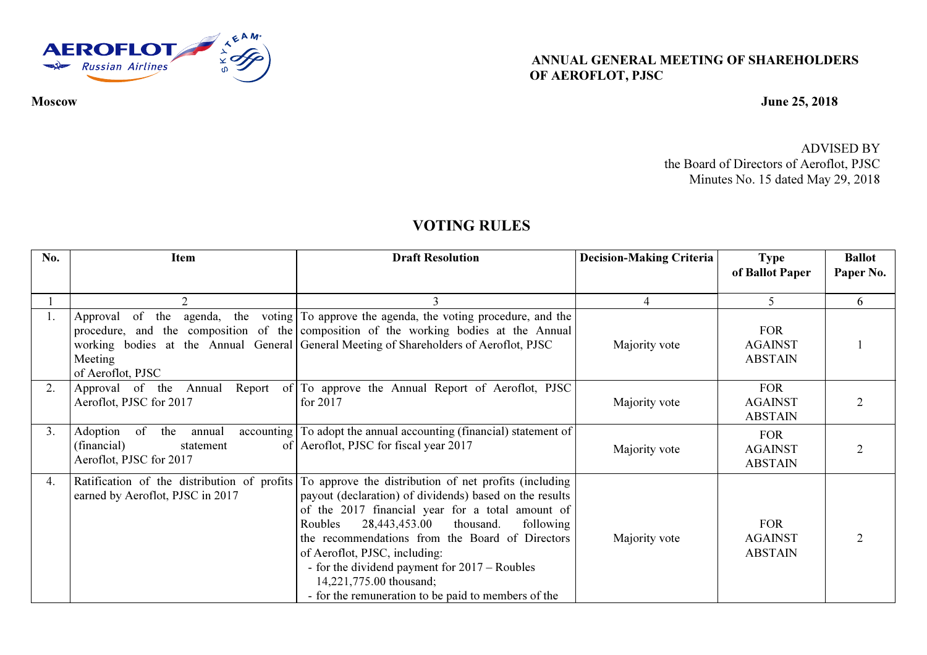

ANNUAL GENERAL MEETING OF SHAREHOLDERS OF AEROFLOT, PJSC

## Moscow June 25, 2018

ADVISED BY the Board of Directors of Aeroflot, PJSC Minutes No. 15 dated May 29, 2018

## VOTING RULES

| No. | <b>Item</b>                                                                            | <b>Draft Resolution</b>                                                                                                                                                                                                                                                                                                                                                                                                                                                                                | <b>Decision-Making Criteria</b> | <b>Type</b>                                    | <b>Ballot</b> |
|-----|----------------------------------------------------------------------------------------|--------------------------------------------------------------------------------------------------------------------------------------------------------------------------------------------------------------------------------------------------------------------------------------------------------------------------------------------------------------------------------------------------------------------------------------------------------------------------------------------------------|---------------------------------|------------------------------------------------|---------------|
|     |                                                                                        |                                                                                                                                                                                                                                                                                                                                                                                                                                                                                                        |                                 | of Ballot Paper                                | Paper No.     |
|     | 2                                                                                      |                                                                                                                                                                                                                                                                                                                                                                                                                                                                                                        | 4                               | 5                                              | 6             |
| 1.  | of the<br>Approval<br>Meeting<br>of Aeroflot, PJSC                                     | agenda, the voting $\boxed{7}$ approve the agenda, the voting procedure, and the<br>procedure, and the composition of the composition of the working bodies at the Annual<br>working bodies at the Annual General General Meeting of Shareholders of Aeroflot, PJSC                                                                                                                                                                                                                                    | Majority vote                   | <b>FOR</b><br><b>AGAINST</b><br><b>ABSTAIN</b> |               |
| 2.  | Approval of the<br>Annual<br>Aeroflot, PJSC for 2017                                   | Report of To approve the Annual Report of Aeroflot, PJSC<br>for 2017                                                                                                                                                                                                                                                                                                                                                                                                                                   | Majority vote                   | <b>FOR</b><br><b>AGAINST</b><br><b>ABSTAIN</b> |               |
| 3.  | Adoption<br>of<br>the<br>annual<br>(financial)<br>statement<br>Aeroflot, PJSC for 2017 | accounting To adopt the annual accounting (financial) statement of<br>of Aeroflot, PJSC for fiscal year 2017                                                                                                                                                                                                                                                                                                                                                                                           | Majority vote                   | <b>FOR</b><br><b>AGAINST</b><br><b>ABSTAIN</b> |               |
| 4.  | earned by Aeroflot, PJSC in 2017                                                       | Ratification of the distribution of profits To approve the distribution of net profits (including<br>payout (declaration) of dividends) based on the results<br>of the 2017 financial year for a total amount of<br>28,443,453.00<br>Roubles<br>thousand.<br>following<br>the recommendations from the Board of Directors<br>of Aeroflot, PJSC, including:<br>- for the dividend payment for $2017 - \text{Roubles}$<br>14,221,775.00 thousand;<br>- for the remuneration to be paid to members of the | Majority vote                   | <b>FOR</b><br><b>AGAINST</b><br><b>ABSTAIN</b> |               |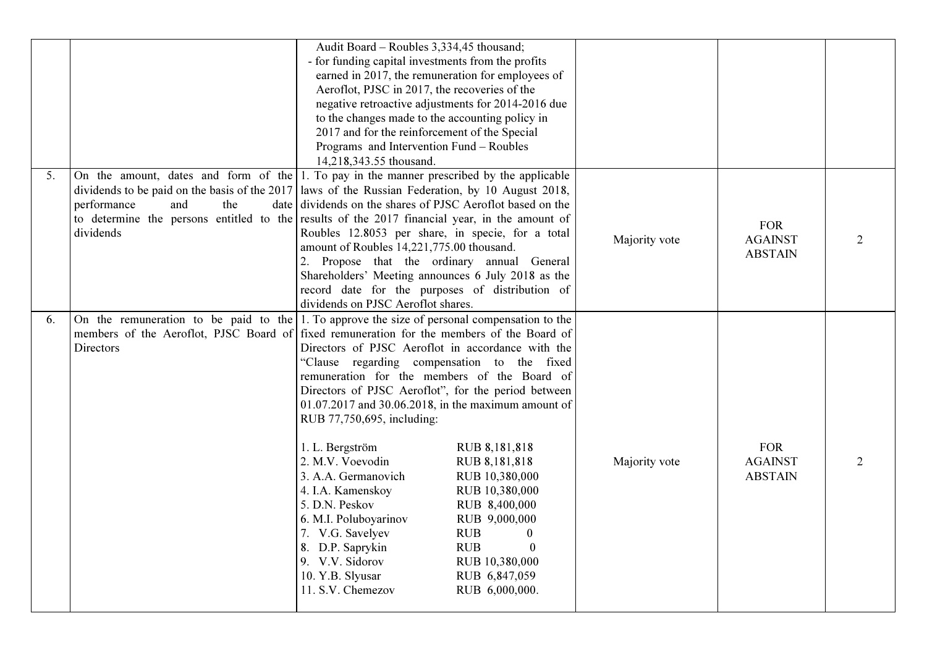|    |                                                                                                                                                                                                                                                                                                                                          | Audit Board - Roubles 3,334,45 thousand;<br>- for funding capital investments from the profits<br>Aeroflot, PJSC in 2017, the recoveries of the<br>to the changes made to the accounting policy in<br>2017 and for the reinforcement of the Special<br>Programs and Intervention Fund - Roubles<br>14,218,343.55 thousand.                                                                                                                                                                                                     | earned in 2017, the remuneration for employees of<br>negative retroactive adjustments for 2014-2016 due                                                                                                               |               |                                                |                |
|----|------------------------------------------------------------------------------------------------------------------------------------------------------------------------------------------------------------------------------------------------------------------------------------------------------------------------------------------|--------------------------------------------------------------------------------------------------------------------------------------------------------------------------------------------------------------------------------------------------------------------------------------------------------------------------------------------------------------------------------------------------------------------------------------------------------------------------------------------------------------------------------|-----------------------------------------------------------------------------------------------------------------------------------------------------------------------------------------------------------------------|---------------|------------------------------------------------|----------------|
| 5. | On the amount, dates and form of the 1. To pay in the manner prescribed by the applicable<br>dividends to be paid on the basis of the 2017 laws of the Russian Federation, by 10 August 2018,<br>performance<br>and<br>the<br>to determine the persons entitled to the results of the 2017 financial year, in the amount of<br>dividends | date dividends on the shares of PJSC Aeroflot based on the<br>Roubles 12.8053 per share, in specie, for a total<br>amount of Roubles 14,221,775.00 thousand.<br>2. Propose that the ordinary annual General<br>Shareholders' Meeting announces 6 July 2018 as the<br>record date for the purposes of distribution of<br>dividends on PJSC Aeroflot shares.                                                                                                                                                                     |                                                                                                                                                                                                                       | Majority vote | <b>FOR</b><br><b>AGAINST</b><br><b>ABSTAIN</b> | 2              |
| 6. | On the remuneration to be paid to the 1. To approve the size of personal compensation to the<br>members of the Aeroflot, PJSC Board of fixed remuneration for the members of the Board of<br>Directors                                                                                                                                   | Directors of PJSC Aeroflot in accordance with the<br>"Clause regarding compensation to the fixed<br>remuneration for the members of the Board of<br>Directors of PJSC Aeroflot", for the period between<br>01.07.2017 and 30.06.2018, in the maximum amount of<br>RUB 77,750,695, including:<br>1. L. Bergström<br>2. M.V. Voevodin<br>3. A.A. Germanovich<br>4. I.A. Kamenskoy<br>5. D.N. Peskov<br>6. M.I. Poluboyarinov<br>7. V.G. Savelyev<br>8. D.P. Saprykin<br>9. V.V. Sidorov<br>10. Y.B. Slyusar<br>11. S.V. Chemezov | RUB 8,181,818<br>RUB 8,181,818<br>RUB 10,380,000<br>RUB 10,380,000<br>RUB 8,400,000<br>RUB 9,000,000<br><b>RUB</b><br>$\theta$<br><b>RUB</b><br>$\boldsymbol{0}$<br>RUB 10,380,000<br>RUB 6,847,059<br>RUB 6,000,000. | Majority vote | <b>FOR</b><br><b>AGAINST</b><br><b>ABSTAIN</b> | $\overline{2}$ |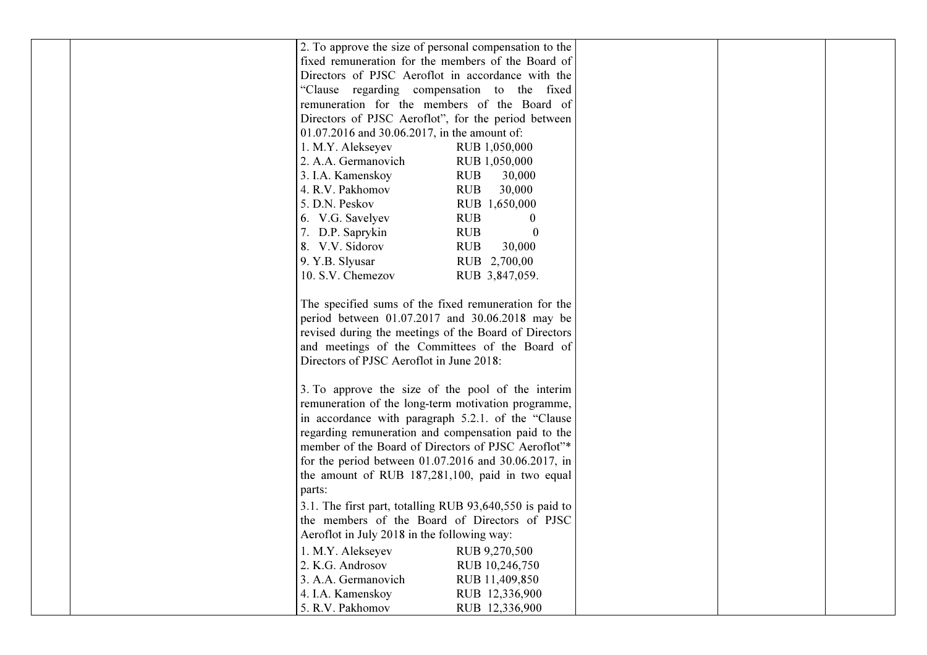| 2. To approve the size of personal compensation to the    |
|-----------------------------------------------------------|
| fixed remuneration for the members of the Board of        |
| Directors of PJSC Aeroflot in accordance with the         |
| "Clause regarding compensation to the fixed               |
| remuneration for the members of the Board of              |
| Directors of PJSC Aeroflot", for the period between       |
| 01.07.2016 and 30.06.2017, in the amount of:              |
| 1. M.Y. Alekseyev<br>RUB 1,050,000                        |
| 2. A.A. Germanovich<br>RUB 1,050,000                      |
| 3. I.A. Kamenskoy<br><b>RUB</b><br>30,000                 |
| <b>RUB</b><br>4. R.V. Pakhomov<br>30,000                  |
| 5. D.N. Peskov<br>RUB 1,650,000                           |
| 6. V.G. Savelyev<br><b>RUB</b><br>$\theta$                |
| <b>RUB</b><br>7. D.P. Saprykin<br>$\theta$                |
| 8. V.V. Sidorov<br><b>RUB</b><br>30,000                   |
| 9. Y.B. Slyusar<br>RUB 2,700,00                           |
| 10. S.V. Chemezov<br>RUB 3,847,059.                       |
|                                                           |
| The specified sums of the fixed remuneration for the      |
| period between $01.07.2017$ and $30.06.2018$ may be       |
| revised during the meetings of the Board of Directors     |
| and meetings of the Committees of the Board of            |
| Directors of PJSC Aeroflot in June 2018:                  |
|                                                           |
| 3. To approve the size of the pool of the interim         |
| remuneration of the long-term motivation programme,       |
| in accordance with paragraph 5.2.1. of the "Clause        |
| regarding remuneration and compensation paid to the       |
| member of the Board of Directors of PJSC Aeroflot"*       |
| for the period between $01.07.2016$ and $30.06.2017$ , in |
| the amount of RUB 187,281,100, paid in two equal          |
| parts:                                                    |
| 3.1. The first part, totalling RUB 93,640,550 is paid to  |
| the members of the Board of Directors of PJSC             |
| Aeroflot in July 2018 in the following way:               |
| 1. M.Y. Alekseyev<br>RUB 9,270,500                        |
| 2. K.G. Androsov<br>RUB 10,246,750                        |
| 3. A.A. Germanovich<br>RUB 11,409,850                     |
| 4. I.A. Kamenskoy<br>RUB 12,336,900                       |
| 5. R.V. Pakhomov<br>RUB 12,336,900                        |
|                                                           |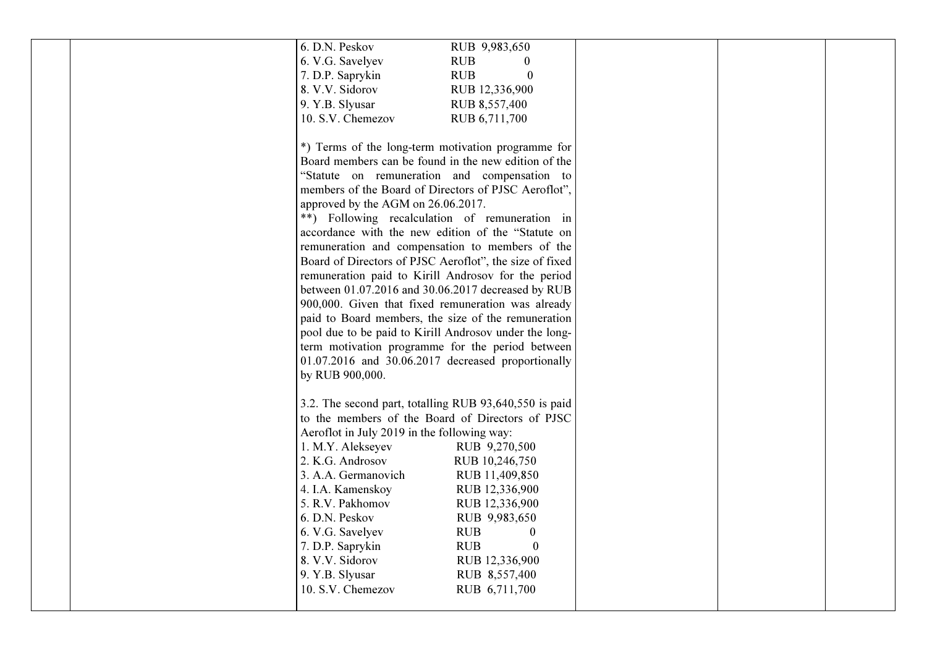| 6. D.N. Peskov                                          | RUB 9,983,650                  |  |  |
|---------------------------------------------------------|--------------------------------|--|--|
| 6. V.G. Savelyev                                        | <b>RUB</b>                     |  |  |
| 7. D.P. Saprykin                                        | <b>RUB</b><br>$\boldsymbol{0}$ |  |  |
| 8. V.V. Sidorov                                         | RUB 12,336,900                 |  |  |
| 9. Y.B. Slyusar                                         | RUB 8,557,400                  |  |  |
|                                                         |                                |  |  |
| 10. S.V. Chemezov                                       | RUB 6,711,700                  |  |  |
|                                                         |                                |  |  |
| *) Terms of the long-term motivation programme for      |                                |  |  |
| Board members can be found in the new edition of the    |                                |  |  |
| "Statute on remuneration and compensation to            |                                |  |  |
| members of the Board of Directors of PJSC Aeroflot",    |                                |  |  |
|                                                         |                                |  |  |
| approved by the AGM on 26.06.2017.                      |                                |  |  |
| **) Following recalculation of remuneration in          |                                |  |  |
| accordance with the new edition of the "Statute on      |                                |  |  |
| remuneration and compensation to members of the         |                                |  |  |
| Board of Directors of PJSC Aeroflot", the size of fixed |                                |  |  |
| remuneration paid to Kirill Androsov for the period     |                                |  |  |
| between 01.07.2016 and 30.06.2017 decreased by RUB      |                                |  |  |
| 900,000. Given that fixed remuneration was already      |                                |  |  |
|                                                         |                                |  |  |
| paid to Board members, the size of the remuneration     |                                |  |  |
| pool due to be paid to Kirill Androsov under the long-  |                                |  |  |
| term motivation programme for the period between        |                                |  |  |
| $01.07.2016$ and $30.06.2017$ decreased proportionally  |                                |  |  |
| by RUB 900,000.                                         |                                |  |  |
|                                                         |                                |  |  |
| 3.2. The second part, totalling RUB 93,640,550 is paid  |                                |  |  |
| to the members of the Board of Directors of PJSC        |                                |  |  |
|                                                         |                                |  |  |
| Aeroflot in July 2019 in the following way:             |                                |  |  |
| 1. M.Y. Alekseyev                                       | RUB 9,270,500                  |  |  |
| 2. K.G. Androsov                                        | RUB 10,246,750                 |  |  |
| 3. A.A. Germanovich                                     | RUB 11,409,850                 |  |  |
| 4. I.A. Kamenskoy                                       | RUB 12,336,900                 |  |  |
| 5. R.V. Pakhomov                                        | RUB 12,336,900                 |  |  |
| 6. D.N. Peskov                                          | RUB 9,983,650                  |  |  |
| 6. V.G. Savelyev                                        | <b>RUB</b><br>$\bf{0}$         |  |  |
| 7. D.P. Saprykin                                        | <b>RUB</b><br>$\Omega$         |  |  |
| 8. V.V. Sidorov                                         |                                |  |  |
|                                                         | RUB 12,336,900                 |  |  |
| 9. Y.B. Slyusar                                         | RUB 8,557,400                  |  |  |
| 10. S.V. Chemezov                                       | RUB 6,711,700                  |  |  |
|                                                         |                                |  |  |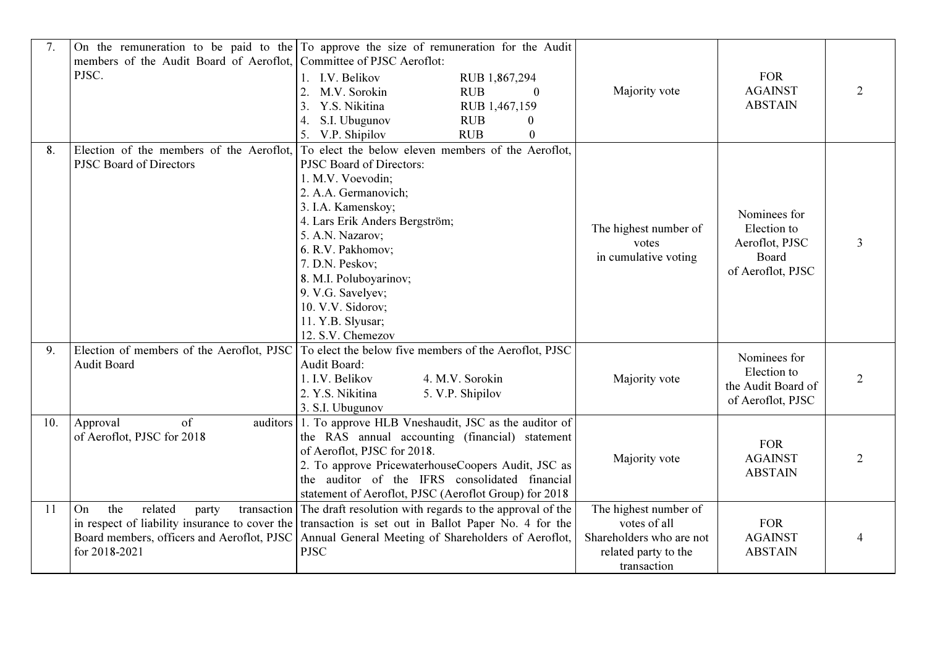| 7.  |                                         | On the remuneration to be paid to the $\Gamma$ To approve the size of remuneration for the Audit    |                          |                    |                             |
|-----|-----------------------------------------|-----------------------------------------------------------------------------------------------------|--------------------------|--------------------|-----------------------------|
|     | members of the Audit Board of Aeroflot, | Committee of PJSC Aeroflot:                                                                         |                          |                    |                             |
|     | PJSC.                                   | 1. I.V. Belikov<br>RUB 1,867,294                                                                    |                          | <b>FOR</b>         |                             |
|     |                                         | 2.<br>M.V. Sorokin<br><b>RUB</b><br>$\Omega$                                                        | Majority vote            | <b>AGAINST</b>     |                             |
|     |                                         | 3.<br>Y.S. Nikitina<br>RUB 1,467,159                                                                |                          | <b>ABSTAIN</b>     |                             |
|     |                                         | S.I. Ubugunov<br><b>RUB</b><br>4.<br>$\mathbf{0}$                                                   |                          |                    |                             |
|     |                                         | 5. V.P. Shipilov<br><b>RUB</b><br>$\mathbf{0}$                                                      |                          |                    |                             |
| 8.  |                                         | Election of the members of the Aeroflot, To elect the below eleven members of the Aeroflot,         |                          |                    |                             |
|     | <b>PJSC Board of Directors</b>          | PJSC Board of Directors:                                                                            |                          |                    |                             |
|     |                                         | 1. M.V. Voevodin;                                                                                   |                          |                    |                             |
|     |                                         | 2. A.A. Germanovich;                                                                                |                          |                    |                             |
|     |                                         | 3. I.A. Kamenskoy;                                                                                  |                          | Nominees for       |                             |
|     |                                         | 4. Lars Erik Anders Bergström;                                                                      | The highest number of    | Election to        |                             |
|     |                                         | 5. A.N. Nazarov;                                                                                    | votes                    | Aeroflot, PJSC     | 3                           |
|     |                                         | 6. R.V. Pakhomov;                                                                                   | in cumulative voting     | Board              |                             |
|     |                                         | 7. D.N. Peskov;                                                                                     |                          | of Aeroflot, PJSC  |                             |
|     |                                         | 8. M.I. Poluboyarinov;                                                                              |                          |                    |                             |
|     |                                         | 9. V.G. Savelyev;                                                                                   |                          |                    |                             |
|     |                                         | 10. V.V. Sidorov;                                                                                   |                          |                    |                             |
|     |                                         | 11. Y.B. Slyusar;                                                                                   |                          |                    |                             |
|     |                                         | 12. S.V. Chemezov                                                                                   |                          |                    |                             |
| 9.  |                                         | Election of members of the Aeroflot, PJSC To elect the below five members of the Aeroflot, PJSC     |                          | Nominees for       |                             |
|     | <b>Audit Board</b>                      | Audit Board:                                                                                        |                          | Election to        |                             |
|     |                                         | 1. I.V. Belikov<br>4. M.V. Sorokin                                                                  | Majority vote            | the Audit Board of | $\mathcal{D}$               |
|     |                                         | 2. Y.S. Nikitina<br>5. V.P. Shipilov                                                                |                          | of Aeroflot, PJSC  |                             |
|     |                                         | 3. S.I. Ubugunov                                                                                    |                          |                    |                             |
| 10. | of<br>Approval                          | auditors 1. To approve HLB Vneshaudit, JSC as the auditor of                                        |                          |                    |                             |
|     | of Aeroflot, PJSC for 2018              | the RAS annual accounting (financial) statement                                                     |                          | <b>FOR</b>         |                             |
|     |                                         | of Aeroflot, PJSC for 2018.                                                                         | Majority vote            | <b>AGAINST</b>     | $\mathcal{D}_{\mathcal{L}}$ |
|     |                                         | 2. To approve PricewaterhouseCoopers Audit, JSC as                                                  |                          | <b>ABSTAIN</b>     |                             |
|     |                                         | the auditor of the IFRS consolidated financial                                                      |                          |                    |                             |
|     |                                         | statement of Aeroflot, PJSC (Aeroflot Group) for 2018                                               |                          |                    |                             |
| 11  | the<br>related<br>On<br>party           | transaction The draft resolution with regards to the approval of the                                | The highest number of    |                    |                             |
|     |                                         | in respect of liability insurance to cover the transaction is set out in Ballot Paper No. 4 for the | votes of all             | <b>FOR</b>         |                             |
|     |                                         | Board members, officers and Aeroflot, PJSC   Annual General Meeting of Shareholders of Aeroflot,    | Shareholders who are not | <b>AGAINST</b>     |                             |
|     | for 2018-2021                           | <b>PJSC</b>                                                                                         | related party to the     | <b>ABSTAIN</b>     |                             |
|     |                                         |                                                                                                     | transaction              |                    |                             |